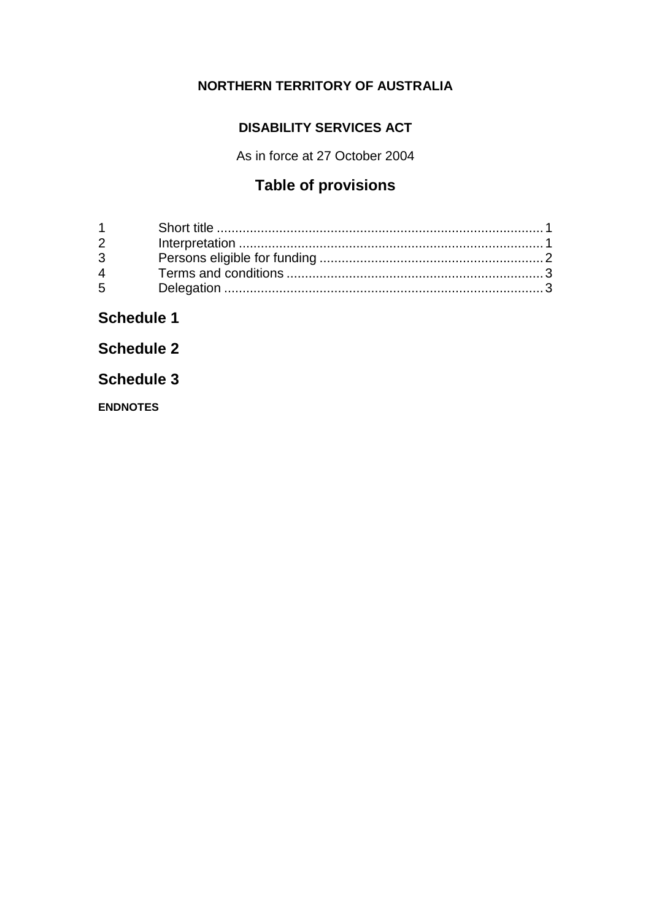## **NORTHERN TERRITORY OF AUSTRALIA**

### **DISABILITY SERVICES ACT**

As in force at 27 October 2004

## **Table of provisions**

| $2^{\sim}$  |  |
|-------------|--|
| $3^{\circ}$ |  |
| $\mathbf 4$ |  |
| $5^{\circ}$ |  |

**Schedule 1**

**Schedule 2**

**Schedule 3**

**ENDNOTES**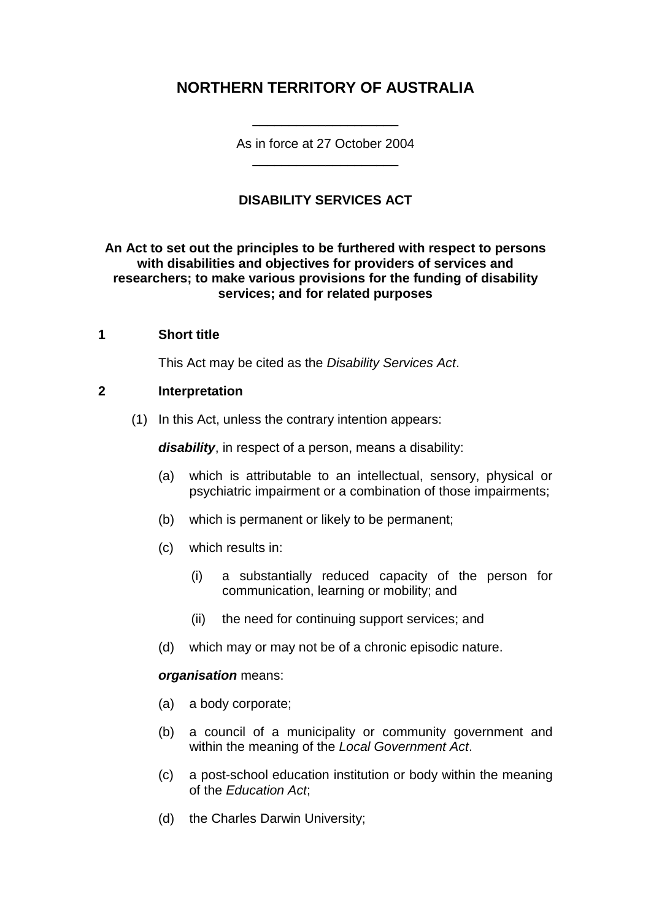## **NORTHERN TERRITORY OF AUSTRALIA**

As in force at 27 October 2004 \_\_\_\_\_\_\_\_\_\_\_\_\_\_\_\_\_\_\_\_

\_\_\_\_\_\_\_\_\_\_\_\_\_\_\_\_\_\_\_\_

### **DISABILITY SERVICES ACT**

#### **An Act to set out the principles to be furthered with respect to persons with disabilities and objectives for providers of services and researchers; to make various provisions for the funding of disability services; and for related purposes**

#### **1 Short title**

This Act may be cited as the *Disability Services Act*.

#### **2 Interpretation**

(1) In this Act, unless the contrary intention appears:

*disability*, in respect of a person, means a disability:

- (a) which is attributable to an intellectual, sensory, physical or psychiatric impairment or a combination of those impairments;
- (b) which is permanent or likely to be permanent;
- (c) which results in:
	- (i) a substantially reduced capacity of the person for communication, learning or mobility; and
	- (ii) the need for continuing support services; and
- (d) which may or may not be of a chronic episodic nature.

#### *organisation* means:

- (a) a body corporate;
- (b) a council of a municipality or community government and within the meaning of the *Local Government Act*.
- (c) a post-school education institution or body within the meaning of the *Education Act*;
- (d) the Charles Darwin University;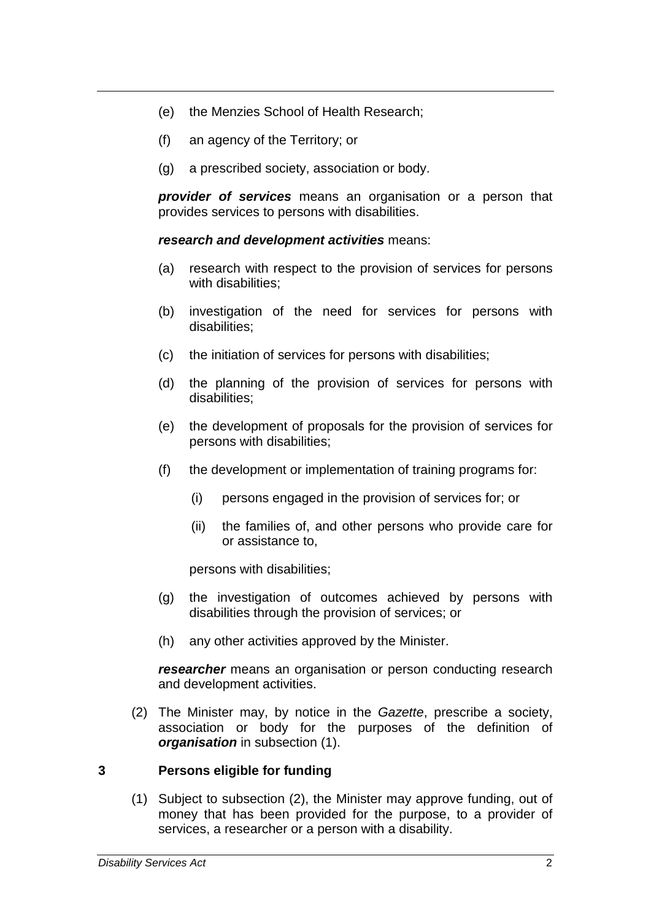- (e) the Menzies School of Health Research;
- (f) an agency of the Territory; or
- (g) a prescribed society, association or body.

*provider of services* means an organisation or a person that provides services to persons with disabilities.

*research and development activities* means:

- (a) research with respect to the provision of services for persons with disabilities:
- (b) investigation of the need for services for persons with disabilities;
- (c) the initiation of services for persons with disabilities;
- (d) the planning of the provision of services for persons with disabilities;
- (e) the development of proposals for the provision of services for persons with disabilities;
- (f) the development or implementation of training programs for:
	- (i) persons engaged in the provision of services for; or
	- (ii) the families of, and other persons who provide care for or assistance to,

persons with disabilities;

- (g) the investigation of outcomes achieved by persons with disabilities through the provision of services; or
- (h) any other activities approved by the Minister.

*researcher* means an organisation or person conducting research and development activities.

(2) The Minister may, by notice in the *Gazette*, prescribe a society, association or body for the purposes of the definition of *organisation* in subsection (1).

#### **3 Persons eligible for funding**

(1) Subject to subsection (2), the Minister may approve funding, out of money that has been provided for the purpose, to a provider of services, a researcher or a person with a disability.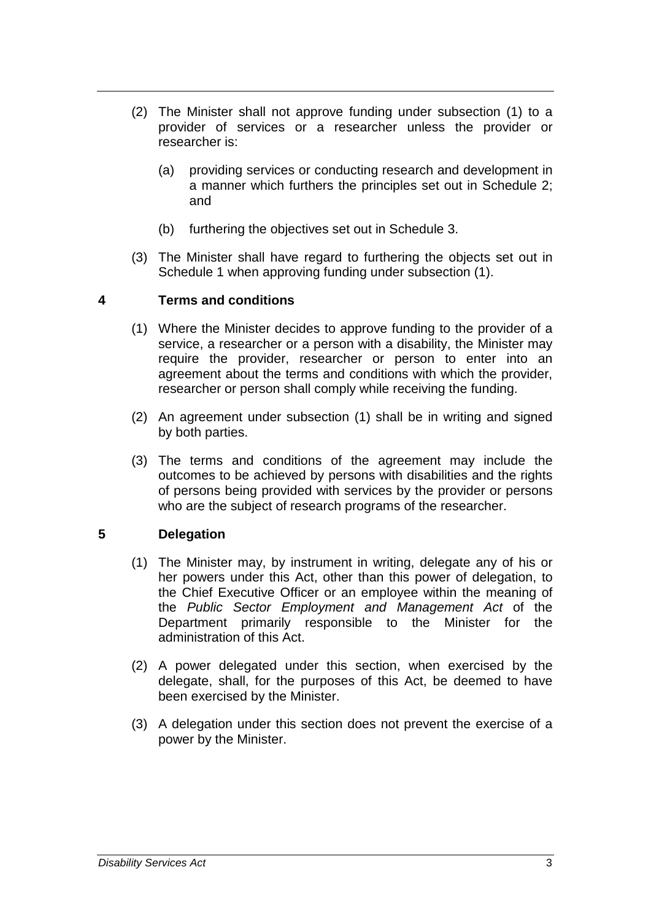- (2) The Minister shall not approve funding under subsection (1) to a provider of services or a researcher unless the provider or researcher is:
	- (a) providing services or conducting research and development in a manner which furthers the principles set out in Schedule 2; and
	- (b) furthering the objectives set out in Schedule 3.
- (3) The Minister shall have regard to furthering the objects set out in Schedule 1 when approving funding under subsection (1).

#### **4 Terms and conditions**

- (1) Where the Minister decides to approve funding to the provider of a service, a researcher or a person with a disability, the Minister may require the provider, researcher or person to enter into an agreement about the terms and conditions with which the provider, researcher or person shall comply while receiving the funding.
- (2) An agreement under subsection (1) shall be in writing and signed by both parties.
- (3) The terms and conditions of the agreement may include the outcomes to be achieved by persons with disabilities and the rights of persons being provided with services by the provider or persons who are the subject of research programs of the researcher.

#### **5 Delegation**

- (1) The Minister may, by instrument in writing, delegate any of his or her powers under this Act, other than this power of delegation, to the Chief Executive Officer or an employee within the meaning of the *Public Sector Employment and Management Act* of the Department primarily responsible to the Minister for the administration of this Act.
- (2) A power delegated under this section, when exercised by the delegate, shall, for the purposes of this Act, be deemed to have been exercised by the Minister.
- (3) A delegation under this section does not prevent the exercise of a power by the Minister.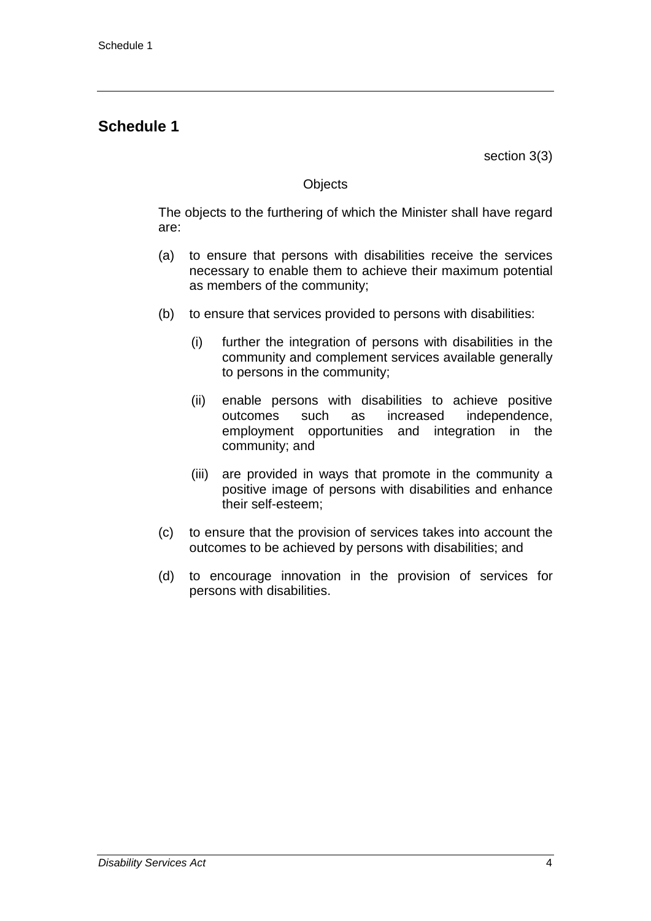## **Schedule 1**

section 3(3)

#### **Objects**

The objects to the furthering of which the Minister shall have regard are:

- (a) to ensure that persons with disabilities receive the services necessary to enable them to achieve their maximum potential as members of the community;
- (b) to ensure that services provided to persons with disabilities:
	- (i) further the integration of persons with disabilities in the community and complement services available generally to persons in the community;
	- (ii) enable persons with disabilities to achieve positive outcomes such as increased independence, employment opportunities and integration in the community; and
	- (iii) are provided in ways that promote in the community a positive image of persons with disabilities and enhance their self-esteem;
- (c) to ensure that the provision of services takes into account the outcomes to be achieved by persons with disabilities; and
- (d) to encourage innovation in the provision of services for persons with disabilities.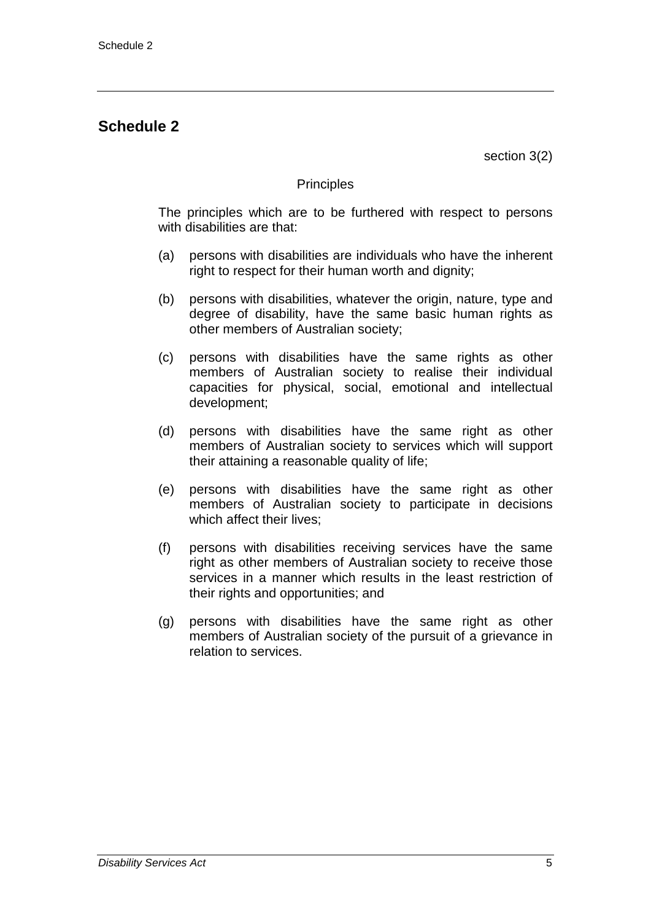## **Schedule 2**

section 3(2)

#### **Principles**

The principles which are to be furthered with respect to persons with disabilities are that:

- (a) persons with disabilities are individuals who have the inherent right to respect for their human worth and dignity;
- (b) persons with disabilities, whatever the origin, nature, type and degree of disability, have the same basic human rights as other members of Australian society;
- (c) persons with disabilities have the same rights as other members of Australian society to realise their individual capacities for physical, social, emotional and intellectual development;
- (d) persons with disabilities have the same right as other members of Australian society to services which will support their attaining a reasonable quality of life;
- (e) persons with disabilities have the same right as other members of Australian society to participate in decisions which affect their lives;
- (f) persons with disabilities receiving services have the same right as other members of Australian society to receive those services in a manner which results in the least restriction of their rights and opportunities; and
- (g) persons with disabilities have the same right as other members of Australian society of the pursuit of a grievance in relation to services.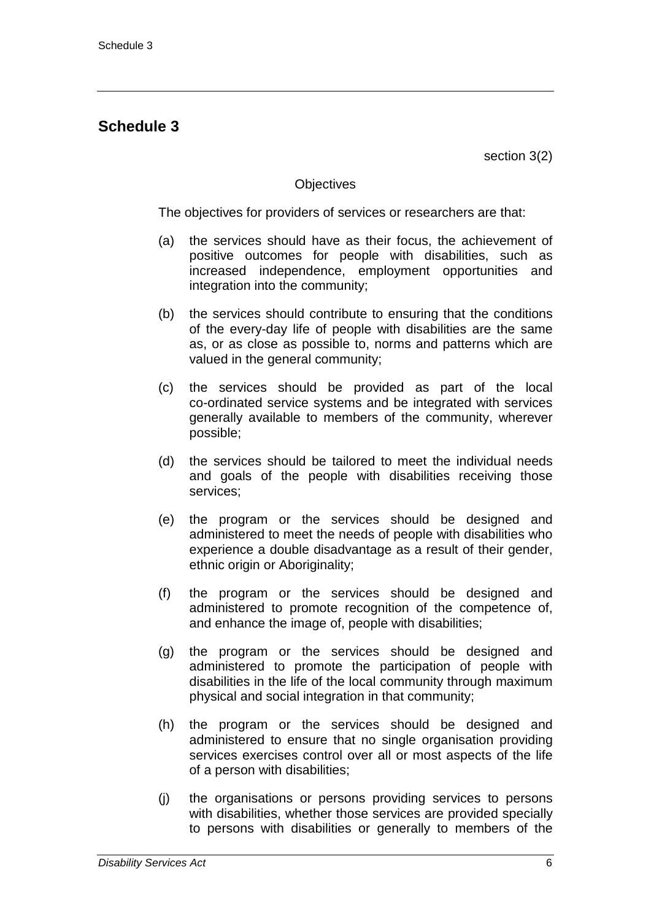## **Schedule 3**

section 3(2)

#### **Objectives**

The objectives for providers of services or researchers are that:

- (a) the services should have as their focus, the achievement of positive outcomes for people with disabilities, such as increased independence, employment opportunities and integration into the community;
- (b) the services should contribute to ensuring that the conditions of the every-day life of people with disabilities are the same as, or as close as possible to, norms and patterns which are valued in the general community;
- (c) the services should be provided as part of the local co-ordinated service systems and be integrated with services generally available to members of the community, wherever possible;
- (d) the services should be tailored to meet the individual needs and goals of the people with disabilities receiving those services;
- (e) the program or the services should be designed and administered to meet the needs of people with disabilities who experience a double disadvantage as a result of their gender, ethnic origin or Aboriginality;
- (f) the program or the services should be designed and administered to promote recognition of the competence of, and enhance the image of, people with disabilities;
- (g) the program or the services should be designed and administered to promote the participation of people with disabilities in the life of the local community through maximum physical and social integration in that community;
- (h) the program or the services should be designed and administered to ensure that no single organisation providing services exercises control over all or most aspects of the life of a person with disabilities;
- (j) the organisations or persons providing services to persons with disabilities, whether those services are provided specially to persons with disabilities or generally to members of the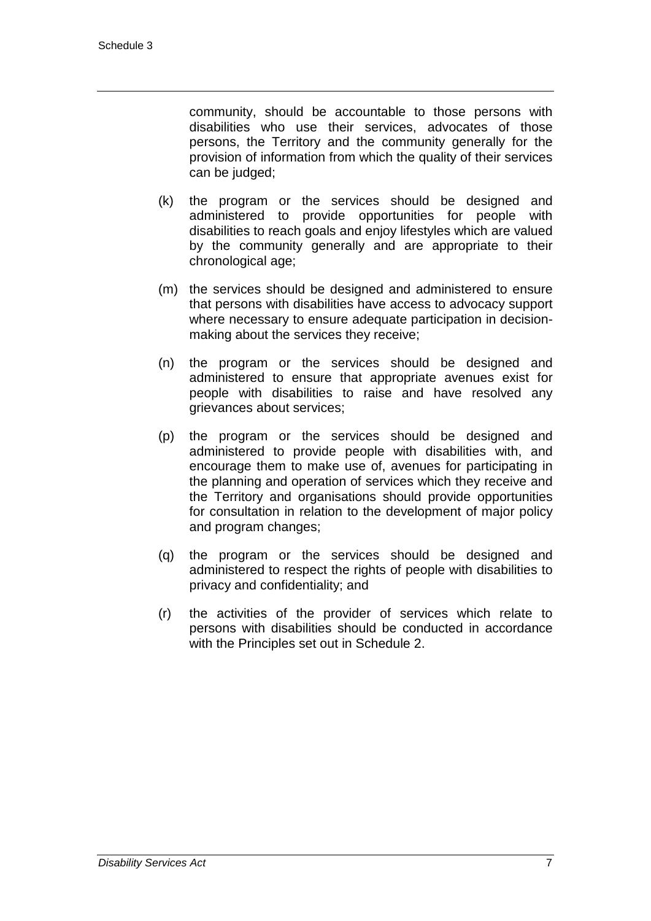community, should be accountable to those persons with disabilities who use their services, advocates of those persons, the Territory and the community generally for the provision of information from which the quality of their services can be judged;

- (k) the program or the services should be designed and administered to provide opportunities for people with disabilities to reach goals and enjoy lifestyles which are valued by the community generally and are appropriate to their chronological age;
- (m) the services should be designed and administered to ensure that persons with disabilities have access to advocacy support where necessary to ensure adequate participation in decisionmaking about the services they receive;
- (n) the program or the services should be designed and administered to ensure that appropriate avenues exist for people with disabilities to raise and have resolved any grievances about services;
- (p) the program or the services should be designed and administered to provide people with disabilities with, and encourage them to make use of, avenues for participating in the planning and operation of services which they receive and the Territory and organisations should provide opportunities for consultation in relation to the development of major policy and program changes;
- (q) the program or the services should be designed and administered to respect the rights of people with disabilities to privacy and confidentiality; and
- (r) the activities of the provider of services which relate to persons with disabilities should be conducted in accordance with the Principles set out in Schedule 2.